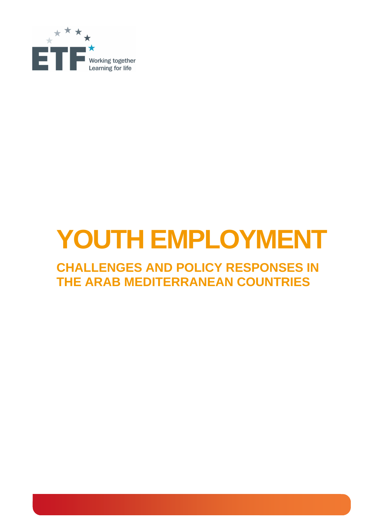

# **YOUTH EMPLOYMENT**

# **CHALLENGES AND POLICY RESPONSES IN THE ARAB MEDITERRANEAN COUNTRIES**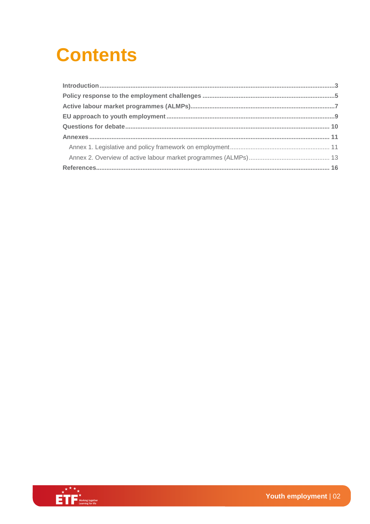# **Contents**

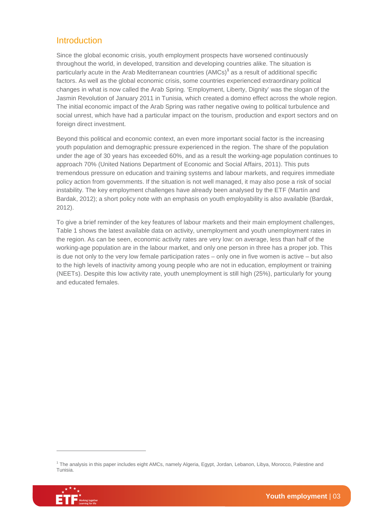#### Introduction

Since the global economic crisis, youth employment prospects have worsened continuously throughout the world, in developed, transition and developing countries alike. The situation is particularly acute in the Arab Mediterranean countries (AMCs)**<sup>1</sup>** as a result of additional specific factors. As well as the global economic crisis, some countries experienced extraordinary political changes in what is now called the Arab Spring. 'Employment, Liberty, Dignity' was the slogan of the Jasmin Revolution of January 2011 in Tunisia, which created a domino effect across the whole region. The initial economic impact of the Arab Spring was rather negative owing to political turbulence and social unrest, which have had a particular impact on the tourism, production and export sectors and on foreign direct investment.

Beyond this political and economic context, an even more important social factor is the increasing youth population and demographic pressure experienced in the region. The share of the population under the age of 30 years has exceeded 60%, and as a result the working-age population continues to approach 70% (United Nations Department of Economic and Social Affairs, 2011). This puts tremendous pressure on education and training systems and labour markets, and requires immediate policy action from governments. If the situation is not well managed, it may also pose a risk of social instability. The key employment challenges have already been analysed by the ETF (Martín and Bardak, 2012); a short policy note with an emphasis on youth employability is also available (Bardak, 2012).

To give a brief reminder of the key features of labour markets and their main employment challenges, Table 1 shows the latest available data on activity, unemployment and youth unemployment rates in the region. As can be seen, economic activity rates are very low: on average, less than half of the working-age population are in the labour market, and only one person in three has a proper job. This is due not only to the very low female participation rates – only one in five women is active – but also to the high levels of inactivity among young people who are not in education, employment or training (NEETs). Despite this low activity rate, youth unemployment is still high (25%), particularly for young and educated females.

<sup>&</sup>lt;sup>1</sup> The analysis in this paper includes eight AMCs, namely Algeria, Egypt, Jordan, Lebanon, Libya, Morocco, Palestine and Tunisia.



 $\overline{a}$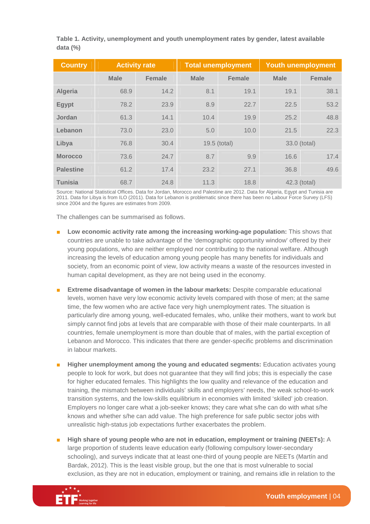**Table 1. Activity, unemployment and youth unemployment rates by gender, latest available data (%)** 

| <b>Country</b>   | <b>Activity rate</b> |               | <b>Total unemployment</b> |               | <b>Youth unemployment</b> |               |
|------------------|----------------------|---------------|---------------------------|---------------|---------------------------|---------------|
|                  | <b>Male</b>          | <b>Female</b> | <b>Male</b>               | <b>Female</b> | <b>Male</b>               | <b>Female</b> |
| Algeria          | 68.9                 | 14.2          | 8.1                       | 19.1          | 19.1                      | 38.1          |
| <b>Egypt</b>     | 78.2                 | 23.9          | 8.9                       | 22.7          | 22.5                      | 53.2          |
| Jordan           | 61.3                 | 14.1          | 10.4                      | 19.9          | 25.2                      | 48.8          |
| Lebanon          | 73.0                 | 23.0          | 5.0                       | 10.0          | 21.5                      | 22.3          |
| Libya            | 76.8                 | 30.4          |                           | 19.5 (total)  |                           | 33.0 (total)  |
| <b>Morocco</b>   | 73.6                 | 24.7          | 8.7                       | 9.9           | 16.6                      | 17.4          |
| <b>Palestine</b> | 61.2                 | 17.4          | 23.2                      | 27.1          | 36.8                      | 49.6          |
| <b>Tunisia</b>   | 68.7                 | 24.8          | 11.3                      | 18.8          |                           | 42.3 (total)  |

Source: National Statistical Offices. Data for Jordan, Morocco and Palestine are 2012. Data for Algeria, Egypt and Tunisia are 2011. Data for Libya is from ILO (2011). Data for Lebanon is problematic since there has been no Labour Force Survey (LFS) since 2004 and the figures are estimates from 2009.

The challenges can be summarised as follows.

- **Low economic activity rate among the increasing working-age population:** This shows that countries are unable to take advantage of the 'demographic opportunity window' offered by their young populations, who are neither employed nor contributing to the national welfare. Although increasing the levels of education among young people has many benefits for individuals and society, from an economic point of view, low activity means a waste of the resources invested in human capital development, as they are not being used in the economy.
- **Extreme disadvantage of women in the labour markets:** Despite comparable educational levels, women have very low economic activity levels compared with those of men; at the same time, the few women who are active face very high unemployment rates. The situation is particularly dire among young, well-educated females, who, unlike their mothers, want to work but simply cannot find jobs at levels that are comparable with those of their male counterparts. In all countries, female unemployment is more than double that of males, with the partial exception of Lebanon and Morocco. This indicates that there are gender-specific problems and discrimination in labour markets.
- **Higher unemployment among the young and educated segments: Education activates young** people to look for work, but does not guarantee that they will find jobs; this is especially the case for higher educated females. This highlights the low quality and relevance of the education and training, the mismatch between individuals' skills and employers' needs, the weak school-to-work transition systems, and the low-skills equilibrium in economies with limited 'skilled' job creation. Employers no longer care what a job-seeker knows; they care what s/he can do with what s/he knows and whether s/he can add value. The high preference for safe public sector jobs with unrealistic high-status job expectations further exacerbates the problem.
- **High share of young people who are not in education, employment or training (NEETs):** A large proportion of students leave education early (following compulsory lower-secondary schooling), and surveys indicate that at least one-third of young people are NEETs (Martín and Bardak, 2012). This is the least visible group, but the one that is most vulnerable to social exclusion, as they are not in education, employment or training, and remains idle in relation to the

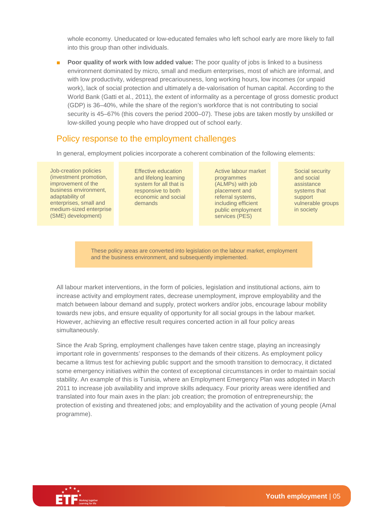whole economy. Uneducated or low-educated females who left school early are more likely to fall into this group than other individuals.

■ **Poor quality of work with low added value:** The poor quality of jobs is linked to a business environment dominated by micro, small and medium enterprises, most of which are informal, and with low productivity, widespread precariousness, long working hours, low incomes (or unpaid work), lack of social protection and ultimately a de-valorisation of human capital. According to the World Bank (Gatti et al., 2011), the extent of informality as a percentage of gross domestic product (GDP) is 36–40%, while the share of the region's workforce that is not contributing to social security is 45–67% (this covers the period 2000–07). These jobs are taken mostly by unskilled or low-skilled young people who have dropped out of school early.

#### Policy response to the employment challenges

In general, employment policies incorporate a coherent combination of the following elements:

Job-creation policies (investment promotion, improvement of the business environment, adaptability of enterprises, small and medium-sized enterprise (SME) development)

Effective education and lifelong learning system for all that is responsive to both economic and social demands

Active labour market programmes (ALMPs) with job placement and referral systems, including efficient public employment services (PES)

Social security and social assistance systems that support vulnerable groups in society

These policy areas are converted into legislation on the labour market, employment and the business environment, and subsequently implemented.

All labour market interventions, in the form of policies, legislation and institutional actions, aim to increase activity and employment rates, decrease unemployment, improve employability and the match between labour demand and supply, protect workers and/or jobs, encourage labour mobility towards new jobs, and ensure equality of opportunity for all social groups in the labour market. However, achieving an effective result requires concerted action in all four policy areas simultaneously.

Since the Arab Spring, employment challenges have taken centre stage, playing an increasingly important role in governments' responses to the demands of their citizens. As employment policy became a litmus test for achieving public support and the smooth transition to democracy, it dictated some emergency initiatives within the context of exceptional circumstances in order to maintain social stability. An example of this is Tunisia, where an Employment Emergency Plan was adopted in March 2011 to increase job availability and improve skills adequacy. Four priority areas were identified and translated into four main axes in the plan: job creation; the promotion of entrepreneurship; the protection of existing and threatened jobs; and employability and the activation of young people (Amal programme).

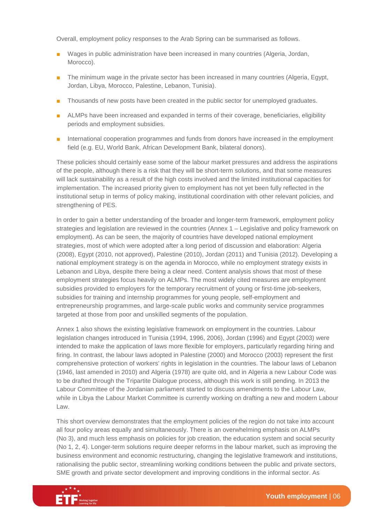Overall, employment policy responses to the Arab Spring can be summarised as follows.

- Wages in public administration have been increased in many countries (Algeria, Jordan, Morocco).
- The minimum wage in the private sector has been increased in many countries (Algeria, Egypt, Jordan, Libya, Morocco, Palestine, Lebanon, Tunisia).
- Thousands of new posts have been created in the public sector for unemployed graduates.
- ALMPs have been increased and expanded in terms of their coverage, beneficiaries, eligibility periods and employment subsidies.
- International cooperation programmes and funds from donors have increased in the employment field (e.g. EU, World Bank, African Development Bank, bilateral donors).

These policies should certainly ease some of the labour market pressures and address the aspirations of the people, although there is a risk that they will be short-term solutions, and that some measures will lack sustainability as a result of the high costs involved and the limited institutional capacities for implementation. The increased priority given to employment has not yet been fully reflected in the institutional setup in terms of policy making, institutional coordination with other relevant policies, and strengthening of PES.

In order to gain a better understanding of the broader and longer-term framework, employment policy strategies and legislation are reviewed in the countries (Annex 1 – Legislative and policy framework on employment). As can be seen, the majority of countries have developed national employment strategies, most of which were adopted after a long period of discussion and elaboration: Algeria (2008), Egypt (2010, not approved), Palestine (2010), Jordan (2011) and Tunisia (2012). Developing a national employment strategy is on the agenda in Morocco, while no employment strategy exists in Lebanon and Libya, despite there being a clear need. Content analysis shows that most of these employment strategies focus heavily on ALMPs. The most widely cited measures are employment subsidies provided to employers for the temporary recruitment of young or first-time job-seekers, subsidies for training and internship programmes for young people, self-employment and entrepreneurship programmes, and large-scale public works and community service programmes targeted at those from poor and unskilled segments of the population.

Annex 1 also shows the existing legislative framework on employment in the countries. Labour legislation changes introduced in Tunisia (1994, 1996, 2006), Jordan (1996) and Egypt (2003) were intended to make the application of laws more flexible for employers, particularly regarding hiring and firing. In contrast, the labour laws adopted in Palestine (2000) and Morocco (2003) represent the first comprehensive protection of workers' rights in legislation in the countries. The labour laws of Lebanon (1946, last amended in 2010) and Algeria (1978) are quite old, and in Algeria a new Labour Code was to be drafted through the Tripartite Dialogue process, although this work is still pending. In 2013 the Labour Committee of the Jordanian parliament started to discuss amendments to the Labour Law, while in Libya the Labour Market Committee is currently working on drafting a new and modern Labour Law.

This short overview demonstrates that the employment policies of the region do not take into account all four policy areas equally and simultaneously. There is an overwhelming emphasis on ALMPs (No 3), and much less emphasis on policies for job creation, the education system and social security (No 1, 2, 4). Longer-term solutions require deeper reforms in the labour market, such as improving the business environment and economic restructuring, changing the legislative framework and institutions, rationalising the public sector, streamlining working conditions between the public and private sectors, SME growth and private sector development and improving conditions in the informal sector. As

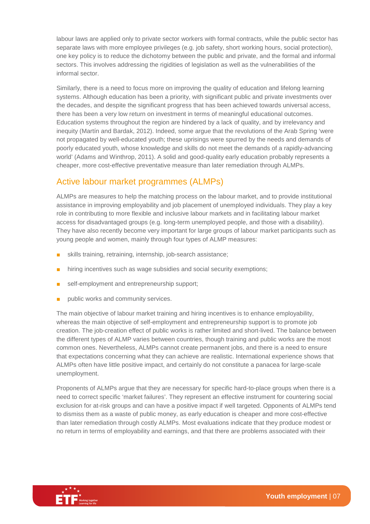labour laws are applied only to private sector workers with formal contracts, while the public sector has separate laws with more employee privileges (e.g. job safety, short working hours, social protection), one key policy is to reduce the dichotomy between the public and private, and the formal and informal sectors. This involves addressing the rigidities of legislation as well as the vulnerabilities of the informal sector.

Similarly, there is a need to focus more on improving the quality of education and lifelong learning systems. Although education has been a priority, with significant public and private investments over the decades, and despite the significant progress that has been achieved towards universal access, there has been a very low return on investment in terms of meaningful educational outcomes. Education systems throughout the region are hindered by a lack of quality, and by irrelevancy and inequity (Martín and Bardak, 2012). Indeed, some argue that the revolutions of the Arab Spring 'were not propagated by well-educated youth; these uprisings were spurred by the needs and demands of poorly educated youth, whose knowledge and skills do not meet the demands of a rapidly-advancing world' (Adams and Winthrop, 2011). A solid and good-quality early education probably represents a cheaper, more cost-effective preventative measure than later remediation through ALMPs.

#### Active labour market programmes (ALMPs)

ALMPs are measures to help the matching process on the labour market, and to provide institutional assistance in improving employability and job placement of unemployed individuals. They play a key role in contributing to more flexible and inclusive labour markets and in facilitating labour market access for disadvantaged groups (e.g. long-term unemployed people, and those with a disability). They have also recently become very important for large groups of labour market participants such as young people and women, mainly through four types of ALMP measures:

- skills training, retraining, internship, job-search assistance;
- hiring incentives such as wage subsidies and social security exemptions;
- self-employment and entrepreneurship support;
- public works and community services.

The main objective of labour market training and hiring incentives is to enhance employability, whereas the main objective of self-employment and entrepreneurship support is to promote job creation. The job-creation effect of public works is rather limited and short-lived. The balance between the different types of ALMP varies between countries, though training and public works are the most common ones. Nevertheless, ALMPs cannot create permanent jobs, and there is a need to ensure that expectations concerning what they can achieve are realistic. International experience shows that ALMPs often have little positive impact, and certainly do not constitute a panacea for large-scale unemployment.

Proponents of ALMPs argue that they are necessary for specific hard-to-place groups when there is a need to correct specific 'market failures'. They represent an effective instrument for countering social exclusion for at-risk groups and can have a positive impact if well targeted. Opponents of ALMPs tend to dismiss them as a waste of public money, as early education is cheaper and more cost-effective than later remediation through costly ALMPs. Most evaluations indicate that they produce modest or no return in terms of employability and earnings, and that there are problems associated with their

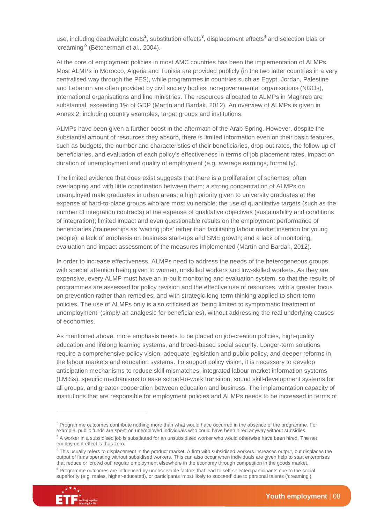use, including deadweight costs<sup>2</sup>, substitution effects<sup>3</sup>, displacement effects<sup>4</sup> and selection bias or 'creaming'**<sup>5</sup>** (Betcherman et al., 2004).

At the core of employment policies in most AMC countries has been the implementation of ALMPs. Most ALMPs in Morocco, Algeria and Tunisia are provided publicly (in the two latter countries in a very centralised way through the PES), while programmes in countries such as Egypt, Jordan, Palestine and Lebanon are often provided by civil society bodies, non-governmental organisations (NGOs), international organisations and line ministries. The resources allocated to ALMPs in Maghreb are substantial, exceeding 1% of GDP (Martín and Bardak, 2012). An overview of ALMPs is given in Annex 2, including country examples, target groups and institutions.

ALMPs have been given a further boost in the aftermath of the Arab Spring. However, despite the substantial amount of resources they absorb, there is limited information even on their basic features, such as budgets, the number and characteristics of their beneficiaries, drop-out rates, the follow-up of beneficiaries, and evaluation of each policy's effectiveness in terms of job placement rates, impact on duration of unemployment and quality of employment (e.g. average earnings, formality).

The limited evidence that does exist suggests that there is a proliferation of schemes, often overlapping and with little coordination between them; a strong concentration of ALMPs on unemployed male graduates in urban areas; a high priority given to university graduates at the expense of hard-to-place groups who are most vulnerable; the use of quantitative targets (such as the number of integration contracts) at the expense of qualitative objectives (sustainability and conditions of integration); limited impact and even questionable results on the employment performance of beneficiaries (traineeships as 'waiting jobs' rather than facilitating labour market insertion for young people); a lack of emphasis on business start-ups and SME growth; and a lack of monitoring, evaluation and impact assessment of the measures implemented (Martín and Bardak, 2012).

In order to increase effectiveness, ALMPs need to address the needs of the heterogeneous groups, with special attention being given to women, unskilled workers and low-skilled workers. As they are expensive, every ALMP must have an in-built monitoring and evaluation system, so that the results of programmes are assessed for policy revision and the effective use of resources, with a greater focus on prevention rather than remedies, and with strategic long-term thinking applied to short-term policies. The use of ALMPs only is also criticised as 'being limited to symptomatic treatment of unemployment' (simply an analgesic for beneficiaries), without addressing the real underlying causes of economies.

As mentioned above, more emphasis needs to be placed on job-creation policies, high-quality education and lifelong learning systems, and broad-based social security. Longer-term solutions require a comprehensive policy vision, adequate legislation and public policy, and deeper reforms in the labour markets and education systems. To support policy vision, it is necessary to develop anticipation mechanisms to reduce skill mismatches, integrated labour market information systems (LMISs), specific mechanisms to ease school-to-work transition, sound skill-development systems for all groups, and greater cooperation between education and business. The implementation capacity of institutions that are responsible for employment policies and ALMPs needs to be increased in terms of

<sup>&</sup>lt;sup>5</sup> Programme outcomes are influenced by unobservable factors that lead to self-selected participants due to the social superiority (e.g. males, higher-educated), or participants 'most likely to succeed' due to personal talents ('creaming').



 $\overline{a}$ 

<sup>&</sup>lt;sup>2</sup> Programme outcomes contribute nothing more than what would have occurred in the absence of the programme. For example, public funds are spent on unemployed individuals who could have been hired anyway without subsidies.

 $3$  A worker in a subsidised job is substituted for an unsubsidised worker who would otherwise have been hired. The net employment effect is thus zero.

<sup>&</sup>lt;sup>4</sup> This usually refers to displacement in the product market. A firm with subsidised workers increases output, but displaces the output of firms operating without subsidised workers. This can also occur when individuals are given help to start enterprises that reduce or 'crowd out' regular employment elsewhere in the economy through competition in the goods market.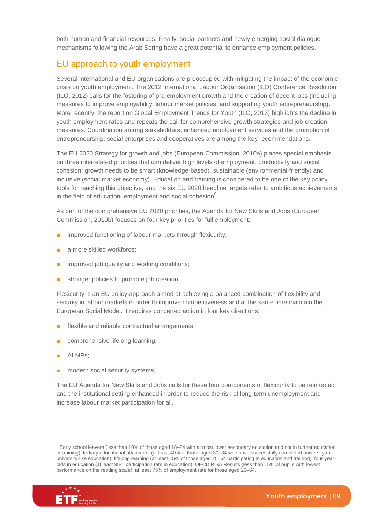both human and financial resources. Finally, social partners and newly emerging social dialogue mechanisms following the Arab Spring have a great potential to enhance employment policies.

#### EU approach to youth employment

Several international and EU organisations are preoccupied with mitigating the impact of the economic crisis on youth employment. The 2012 International Labour Organisation (ILO) Conference Resolution (ILO, 2012) calls for the fostering of pro-employment growth and the creation of decent jobs (including measures to improve employability, labour market policies, and supporting youth entrepreneurship). More recently, the report on Global Employment Trends for Youth (ILO, 2013) highlights the decline in youth employment rates and repeats the call for comprehensive growth strategies and job-creation measures. Coordination among stakeholders, enhanced employment services and the promotion of entrepreneurship, social enterprises and cooperatives are among the key recommendations.

The EU 2020 Strategy for growth and jobs (European Commission, 2010a) places special emphasis on three interrelated priorities that can deliver high levels of employment, productivity and social cohesion: growth needs to be smart (knowledge-based), sustainable (environmental-friendly) and inclusive (social market economy). Education and training is considered to be one of the key policy tools for reaching this objective, and the six EU 2020 headline targets refer to ambitious achievements in the field of education, employment and social cohesion $6$ .

As part of the comprehensive EU 2020 priorities, the Agenda for New Skills and Jobs (European Commission, 2010b) focuses on four key priorities for full employment:

- improved functioning of labour markets through flexicurity;
- a more skilled workforce;
- improved job quality and working conditions;
- stronger policies to promote job creation.

Flexicurity is an EU policy approach aimed at achieving a balanced combination of flexibility and security in labour markets in order to improve competitiveness and at the same time maintain the European Social Model. It requires concerted action in four key directions:

- flexible and reliable contractual arrangements;
- comprehensive lifelong learning;
- ALMPs;
- modern social security systems.

The EU Agenda for New Skills and Jobs calls for these four components of flexicurity to be reinforced and the institutional setting enhanced in order to reduce the risk of long-term unemployment and increase labour market participation for all.

<sup>&</sup>lt;sup>6</sup> Early school leavers (less than 10% of those aged 18–24 with at most lower secondary education and not in further education or training), tertiary educational attainment (at least 40% of those aged 30–34 who have successfully completed university or university-like education), lifelong learning (at least 15% of those aged 25–64 participating in education and training), four-yearolds in education (at least 95% participation rate in education), OECD PISA Results (less than 15% of pupils with lowest performance on the reading scale), at least 75% of employment rate for those aged 20–64.



 $\overline{a}$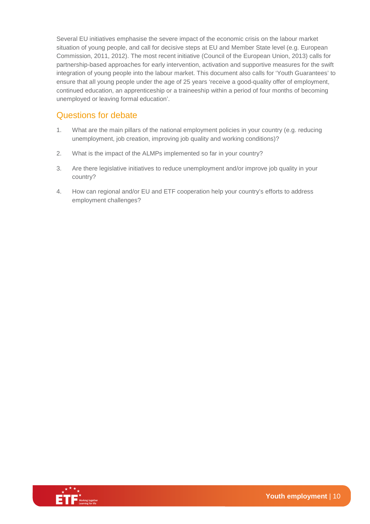Several EU initiatives emphasise the severe impact of the economic crisis on the labour market situation of young people, and call for decisive steps at EU and Member State level (e.g. European Commission, 2011, 2012). The most recent initiative (Council of the European Union, 2013) calls for partnership-based approaches for early intervention, activation and supportive measures for the swift integration of young people into the labour market. This document also calls for 'Youth Guarantees' to ensure that all young people under the age of 25 years 'receive a good-quality offer of employment, continued education, an apprenticeship or a traineeship within a period of four months of becoming unemployed or leaving formal education'.

#### Questions for debate

- 1. What are the main pillars of the national employment policies in your country (e.g. reducing unemployment, job creation, improving job quality and working conditions)?
- 2. What is the impact of the ALMPs implemented so far in your country?
- 3. Are there legislative initiatives to reduce unemployment and/or improve job quality in your country?
- 4. How can regional and/or EU and ETF cooperation help your country's efforts to address employment challenges?

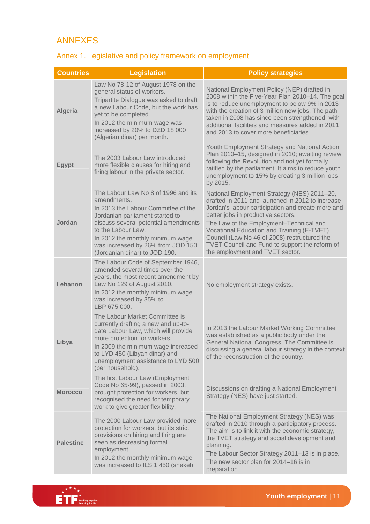#### ANNEXES

### Annex 1. Legislative and policy framework on employment

| <b>Countries</b> | <b>Legislation</b>                                                                                                                                                                                                                                                                                   | <b>Policy strategies</b>                                                                                                                                                                                                                                                                                                                                                                                                 |
|------------------|------------------------------------------------------------------------------------------------------------------------------------------------------------------------------------------------------------------------------------------------------------------------------------------------------|--------------------------------------------------------------------------------------------------------------------------------------------------------------------------------------------------------------------------------------------------------------------------------------------------------------------------------------------------------------------------------------------------------------------------|
| <b>Algeria</b>   | Law No 78-12 of August 1978 on the<br>general status of workers.<br>Tripartite Dialogue was asked to draft<br>a new Labour Code, but the work has<br>yet to be completed.<br>In 2012 the minimum wage was<br>increased by 20% to DZD 18 000<br>(Algerian dinar) per month.                           | National Employment Policy (NEP) drafted in<br>2008 within the Five-Year Plan 2010-14. The goal<br>is to reduce unemployment to below 9% in 2013<br>with the creation of 3 million new jobs. The path<br>taken in 2008 has since been strengthened, with<br>additional facilities and measures added in 2011<br>and 2013 to cover more beneficiaries.                                                                    |
| <b>Egypt</b>     | The 2003 Labour Law introduced<br>more flexible clauses for hiring and<br>firing labour in the private sector.                                                                                                                                                                                       | Youth Employment Strategy and National Action<br>Plan 2010-15, designed in 2010; awaiting review<br>following the Revolution and not yet formally<br>ratified by the parliament. It aims to reduce youth<br>unemployment to 15% by creating 3 million jobs<br>by 2015.                                                                                                                                                   |
| Jordan           | The Labour Law No 8 of 1996 and its<br>amendments.<br>In 2013 the Labour Committee of the<br>Jordanian parliament started to<br>discuss several potential amendments<br>to the Labour Law.<br>In 2012 the monthly minimum wage<br>was increased by 26% from JOD 150<br>(Jordanian dinar) to JOD 190. | National Employment Strategy (NES) 2011-20,<br>drafted in 2011 and launched in 2012 to increase<br>Jordan's labour participation and create more and<br>better jobs in productive sectors.<br>The Law of the Employment-Technical and<br>Vocational Education and Training (E-TVET)<br>Council (Law No 46 of 2008) restructured the<br>TVET Council and Fund to support the reform of<br>the employment and TVET sector. |
| Lebanon          | The Labour Code of September 1946,<br>amended several times over the<br>years, the most recent amendment by<br>Law No 129 of August 2010.<br>In 2012 the monthly minimum wage<br>was increased by 35% to<br>LBP 675 000.                                                                             | No employment strategy exists.                                                                                                                                                                                                                                                                                                                                                                                           |
| Libya            | The Labour Market Committee is<br>currently drafting a new and up-to-<br>date Labour Law, which will provide<br>more protection for workers.<br>In 2009 the minimum wage increased<br>to LYD 450 (Libyan dinar) and<br>unemployment assistance to LYD 500<br>(per household).                        | In 2013 the Labour Market Working Committee<br>was established as a public body under the<br>General National Congress. The Committee is<br>discussing a general labour strategy in the context<br>of the reconstruction of the country.                                                                                                                                                                                 |
| <b>Morocco</b>   | The first Labour Law (Employment<br>Code No 65-99), passed in 2003,<br>brought protection for workers, but<br>recognised the need for temporary<br>work to give greater flexibility.                                                                                                                 | Discussions on drafting a National Employment<br>Strategy (NES) have just started.                                                                                                                                                                                                                                                                                                                                       |
| <b>Palestine</b> | The 2000 Labour Law provided more<br>protection for workers, but its strict<br>provisions on hiring and firing are<br>seen as decreasing formal<br>employment.<br>In 2012 the monthly minimum wage<br>was increased to ILS 1 450 (shekel).                                                           | The National Employment Strategy (NES) was<br>drafted in 2010 through a participatory process.<br>The aim is to link it with the economic strategy,<br>the TVET strategy and social development and<br>planning.<br>The Labour Sector Strategy 2011-13 is in place.<br>The new sector plan for 2014-16 is in<br>preparation.                                                                                             |

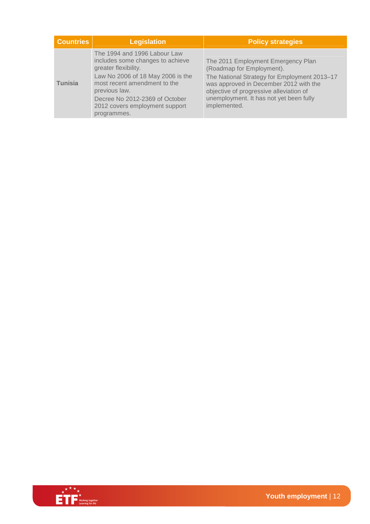| <b>Countries</b> | <b>Legislation</b>                                                                                                                                                                                                                                                | <b>Policy strategies</b>                                                                                                                                                                                                                                        |
|------------------|-------------------------------------------------------------------------------------------------------------------------------------------------------------------------------------------------------------------------------------------------------------------|-----------------------------------------------------------------------------------------------------------------------------------------------------------------------------------------------------------------------------------------------------------------|
| <b>Tunisia</b>   | The 1994 and 1996 Labour Law<br>includes some changes to achieve<br>greater flexibility.<br>Law No 2006 of 18 May 2006 is the<br>most recent amendment to the<br>previous law.<br>Decree No 2012-2369 of October<br>2012 covers employment support<br>programmes. | The 2011 Employment Emergency Plan<br>(Roadmap for Employment).<br>The National Strategy for Employment 2013-17<br>was approved in December 2012 with the<br>objective of progressive alleviation of<br>unemployment. It has not yet been fully<br>implemented. |

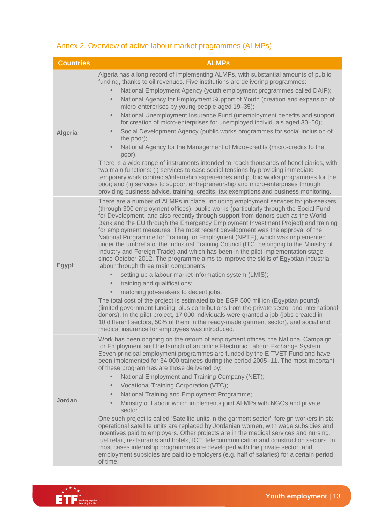## Annex 2. Overview of active labour market programmes (ALMPs)

| <b>Countries</b> | <b>ALMPs</b>                                                                                                                                                                                                                                                                                                                                                                                                                                                                                                                                                                                                                                                                                                                                                                                                                         |
|------------------|--------------------------------------------------------------------------------------------------------------------------------------------------------------------------------------------------------------------------------------------------------------------------------------------------------------------------------------------------------------------------------------------------------------------------------------------------------------------------------------------------------------------------------------------------------------------------------------------------------------------------------------------------------------------------------------------------------------------------------------------------------------------------------------------------------------------------------------|
|                  | Algeria has a long record of implementing ALMPs, with substantial amounts of public<br>funding, thanks to oil revenues. Five institutions are delivering programmes:<br>National Employment Agency (youth employment programmes called DAIP);                                                                                                                                                                                                                                                                                                                                                                                                                                                                                                                                                                                        |
| <b>Algeria</b>   | National Agency for Employment Support of Youth (creation and expansion of<br>$\bullet$<br>micro-enterprises by young people aged 19-35);                                                                                                                                                                                                                                                                                                                                                                                                                                                                                                                                                                                                                                                                                            |
|                  | National Unemployment Insurance Fund (unemployment benefits and support<br>$\bullet$<br>for creation of micro-enterprises for unemployed individuals aged 30-50);                                                                                                                                                                                                                                                                                                                                                                                                                                                                                                                                                                                                                                                                    |
|                  | Social Development Agency (public works programmes for social inclusion of<br>$\bullet$<br>the poor);                                                                                                                                                                                                                                                                                                                                                                                                                                                                                                                                                                                                                                                                                                                                |
|                  | National Agency for the Management of Micro-credits (micro-credits to the<br>$\bullet$<br>poor).                                                                                                                                                                                                                                                                                                                                                                                                                                                                                                                                                                                                                                                                                                                                     |
|                  | There is a wide range of instruments intended to reach thousands of beneficiaries, with<br>two main functions: (i) services to ease social tensions by providing immediate<br>temporary work contracts/internship experiences and public works programmes for the<br>poor; and (ii) services to support entrepreneurship and micro-enterprises through<br>providing business advice, training, credits, tax exemptions and business monitoring.                                                                                                                                                                                                                                                                                                                                                                                      |
| <b>Egypt</b>     | There are a number of ALMPs in place, including employment services for job-seekers<br>(through 300 employment offices), public works (particularly through the Social Fund<br>for Development, and also recently through support from donors such as the World<br>Bank and the EU through the Emergency Employment Investment Project) and training<br>for employment measures. The most recent development was the approval of the<br>National Programme for Training for Employment (NPTE), which was implemented<br>under the umbrella of the Industrial Training Council (ITC, belonging to the Ministry of<br>Industry and Foreign Trade) and which has been in the pilot implementation stage<br>since October 2012. The programme aims to improve the skills of Egyptian industrial<br>labour through three main components: |
|                  | setting up a labour market information system (LMIS);<br>training and qualifications;<br>$\bullet$                                                                                                                                                                                                                                                                                                                                                                                                                                                                                                                                                                                                                                                                                                                                   |
|                  | matching job-seekers to decent jobs.<br>The total cost of the project is estimated to be EGP 500 million (Egyptian pound)<br>(limited government funding, plus contributions from the private sector and international<br>donors). In the pilot project, 17 000 individuals were granted a job (jobs created in<br>10 different sectors, 50% of them in the ready-made garment sector), and social and<br>medical insurance for employees was introduced.                                                                                                                                                                                                                                                                                                                                                                            |
| Jordan           | Work has been ongoing on the reform of employment offices, the National Campaign<br>for Employment and the launch of an online Electronic Labour Exchange System.<br>Seven principal employment programmes are funded by the E-TVET Fund and have<br>been implemented for 34 000 trainees during the period 2005-11. The most important<br>of these programmes are those delivered by:<br>National Employment and Training Company (NET);<br>Vocational Training Corporation (VTC);<br>$\bullet$                                                                                                                                                                                                                                                                                                                                     |
|                  | National Training and Employment Programme;<br>$\bullet$<br>Ministry of Labour which implements joint ALMPs with NGOs and private<br>$\bullet$<br>sector.                                                                                                                                                                                                                                                                                                                                                                                                                                                                                                                                                                                                                                                                            |
|                  | One such project is called 'Satellite units in the garment sector': foreign workers in six<br>operational satellite units are replaced by Jordanian women, with wage subsidies and<br>incentives paid to employers. Other projects are in the medical services and nursing,<br>fuel retail, restaurants and hotels, ICT, telecommunication and construction sectors. In<br>most cases internship programmes are developed with the private sector, and<br>employment subsidies are paid to employers (e.g. half of salaries) for a certain period<br>of time.                                                                                                                                                                                                                                                                        |

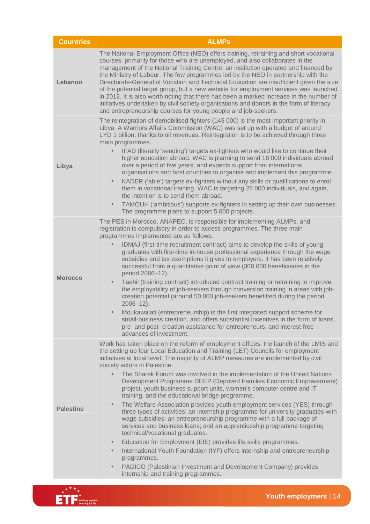| <b>Countries</b> | <b>ALMPs</b>                                                                                                                                                                                                                                                                                                                                                                                                                                                                                                                                                                                                                                                                                                                                                                                                                                                                                                                                                                                                                                                                                                                                                                                                                                                      |
|------------------|-------------------------------------------------------------------------------------------------------------------------------------------------------------------------------------------------------------------------------------------------------------------------------------------------------------------------------------------------------------------------------------------------------------------------------------------------------------------------------------------------------------------------------------------------------------------------------------------------------------------------------------------------------------------------------------------------------------------------------------------------------------------------------------------------------------------------------------------------------------------------------------------------------------------------------------------------------------------------------------------------------------------------------------------------------------------------------------------------------------------------------------------------------------------------------------------------------------------------------------------------------------------|
| Lebanon          | The National Employment Office (NEO) offers training, retraining and short vocational<br>courses, primarily for those who are unemployed, and also collaborates in the<br>management of the National Training Centre, an institution operated and financed by<br>the Ministry of Labour. The few programmes led by the NEO in partnership with the<br>Directorate-General of Vocation and Technical Education are insufficient given the size<br>of the potential target group, but a new website for employment services was launched<br>in 2012. It is also worth noting that there has been a marked increase in the number of<br>initiatives undertaken by civil society organisations and donors in the form of literacy<br>and entrepreneurship courses for young people and job-seekers.                                                                                                                                                                                                                                                                                                                                                                                                                                                                   |
| Libya            | The reintegration of demobilised fighters (145 000) is the most important priority in<br>Libya. A Warriors Affairs Commission (WAC) was set up with a budget of around<br>LYD 1 billion, thanks to oil revenues. Reintegration is to be achieved through three<br>main programmes.<br>IFAD (literally 'sending') targets ex-fighters who would like to continue their<br>higher education abroad. WAC is planning to send 18 000 individuals abroad<br>over a period of five years, and expects support from international<br>organisations and host countries to organise and implement this programme.<br>KADER ('able') targets ex-fighters without any skills or qualifications to enrol<br>$\bullet$<br>them in vocational training. WAC is targeting 28 000 individuals, and again,<br>the intention is to send them abroad.<br>TAMOUH ('ambitious') supports ex-fighters in setting up their own businesses.<br>$\bullet$<br>The programme plans to support 5 000 projects.                                                                                                                                                                                                                                                                                |
| <b>Morocco</b>   | The PES in Morocco, ANAPEC, is responsible for implementing ALMPs, and<br>registration is compulsory in order to access programmes. The three main<br>programmes implemented are as follows.<br>IDMAJ (first-time recruitment contract) aims to develop the skills of young<br>$\bullet$<br>graduates with first-time in-house professional experience through the wage<br>subsidies and tax exemptions it gives to employers. It has been relatively<br>successful from a quantitative point of view (300 000 beneficiaries in the<br>period 2006-12).<br>Taehil (training contract) introduced contract training or retraining to improve<br>$\bullet$<br>the employability of job-seekers through conversion training in areas with job-<br>creation potential (around 50 000 job-seekers benefitted during the period<br>$2006 - 12$ ).<br>Moukawalati (entrepreneurship) is the first integrated support scheme for<br>small-business creation, and offers substantial incentives in the form of loans,<br>pre- and post- creation assistance for entrepreneurs, and interest-free<br>advances of investment.                                                                                                                                                |
| <b>Palestine</b> | Work has taken place on the reform of employment offices, the launch of the LMIS and<br>the setting up four Local Education and Training (LET) Councils for employment<br>initiatives at local level. The majority of ALMP measures are implemented by civil<br>society actors in Palestine.<br>The Sharek Forum was involved in the implementation of the United Nations<br>Development Programme DEEP (Deprived Families Economic Empowerment)<br>project, youth business support units, women's computer centre and IT<br>training, and the educational bridge programme.<br>The Welfare Association provides youth employment services (YES) through<br>$\bullet$<br>three types of activities: an internship programme for university graduates with<br>wage subsidies; an entrepreneurship programme with a full package of<br>services and business loans; and an apprenticeship programme targeting<br>technical/vocational graduates.<br>Education for Employment (EfE) provides life skills programmes.<br>$\bullet$<br>International Youth Foundation (IYF) offers internship and entrepreneurship<br>$\bullet$<br>programmes.<br>PADICO (Palestinian Investment and Development Company) provides<br>$\bullet$<br>internship and training programmes. |

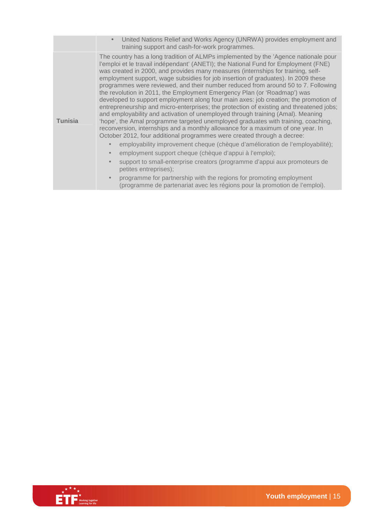|                | United Nations Relief and Works Agency (UNRWA) provides employment and<br>$\bullet$<br>training support and cash-for-work programmes.                                                                                                                                                                                                                                                                                                                                                                                                                                                                                                                                                                                                                                                                                                                                                                                                                                                                                                                                                                                                                                                                                                                                                                                                                                                                                                              |
|----------------|----------------------------------------------------------------------------------------------------------------------------------------------------------------------------------------------------------------------------------------------------------------------------------------------------------------------------------------------------------------------------------------------------------------------------------------------------------------------------------------------------------------------------------------------------------------------------------------------------------------------------------------------------------------------------------------------------------------------------------------------------------------------------------------------------------------------------------------------------------------------------------------------------------------------------------------------------------------------------------------------------------------------------------------------------------------------------------------------------------------------------------------------------------------------------------------------------------------------------------------------------------------------------------------------------------------------------------------------------------------------------------------------------------------------------------------------------|
| <b>Tunisia</b> | The country has a long tradition of ALMPs implemented by the 'Agence nationale pour<br>l'emploi et le travail indépendant' (ANETI); the National Fund for Employment (FNE)<br>was created in 2000, and provides many measures (internships for training, self-<br>employment support, wage subsidies for job insertion of graduates). In 2009 these<br>programmes were reviewed, and their number reduced from around 50 to 7. Following<br>the revolution in 2011, the Employment Emergency Plan (or 'Roadmap') was<br>developed to support employment along four main axes: job creation; the promotion of<br>entrepreneurship and micro-enterprises; the protection of existing and threatened jobs;<br>and employability and activation of unemployed through training (Amal). Meaning<br>'hope', the Amal programme targeted unemployed graduates with training, coaching,<br>reconversion, internships and a monthly allowance for a maximum of one year. In<br>October 2012, four additional programmes were created through a decree:<br>employability improvement cheque (chèque d'amélioration de l'employabilité);<br>employment support cheque (chèque d'appui à l'emploi);<br>support to small-enterprise creators (programme d'appui aux promoteurs de<br>petites entreprises);<br>programme for partnership with the regions for promoting employment<br>(programme de partenariat avec les régions pour la promotion de l'emploi). |